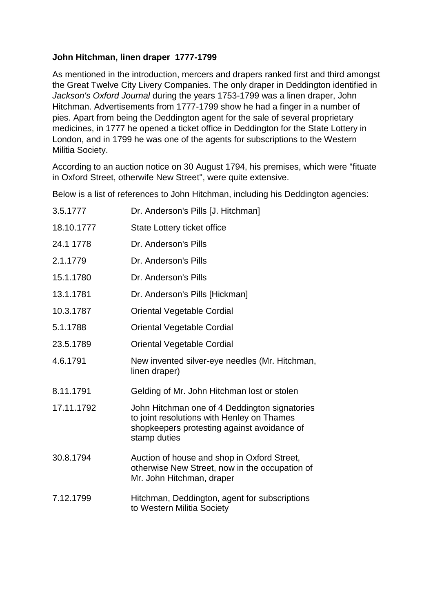# **John Hitchman, linen draper 1777-1799**

As mentioned in the introduction, mercers and drapers ranked first and third amongst the Great Twelve City Livery Companies. The only draper in Deddington identified in *Jackson's Oxford Journal* during the years 1753-1799 was a linen draper, John Hitchman. Advertisements from 1777-1799 show he had a finger in a number of pies. Apart from being the Deddington agent for the sale of several proprietary medicines, in 1777 he opened a ticket office in Deddington for the State Lottery in London, and in 1799 he was one of the agents for subscriptions to the Western Militia Society.

According to an auction notice on 30 August 1794, his premises, which were "fituate in Oxford Street, otherwife New Street", were quite extensive.

Below is a list of references to John Hitchman, including his Deddington agencies:

| 3.5.1777   | Dr. Anderson's Pills [J. Hitchman]                                                                                                                         |
|------------|------------------------------------------------------------------------------------------------------------------------------------------------------------|
| 18.10.1777 | State Lottery ticket office                                                                                                                                |
| 24.1 1778  | Dr. Anderson's Pills                                                                                                                                       |
| 2.1.1779   | Dr. Anderson's Pills                                                                                                                                       |
| 15.1.1780  | Dr. Anderson's Pills                                                                                                                                       |
| 13.1.1781  | Dr. Anderson's Pills [Hickman]                                                                                                                             |
| 10.3.1787  | <b>Oriental Vegetable Cordial</b>                                                                                                                          |
| 5.1.1788   | <b>Oriental Vegetable Cordial</b>                                                                                                                          |
| 23.5.1789  | Oriental Vegetable Cordial                                                                                                                                 |
| 4.6.1791   | New invented silver-eye needles (Mr. Hitchman,<br>linen draper)                                                                                            |
| 8.11.1791  | Gelding of Mr. John Hitchman lost or stolen                                                                                                                |
| 17.11.1792 | John Hitchman one of 4 Deddington signatories<br>to joint resolutions with Henley on Thames<br>shopkeepers protesting against avoidance of<br>stamp duties |
| 30.8.1794  | Auction of house and shop in Oxford Street,<br>otherwise New Street, now in the occupation of<br>Mr. John Hitchman, draper                                 |
| 7.12.1799  | Hitchman, Deddington, agent for subscriptions<br>to Western Militia Society                                                                                |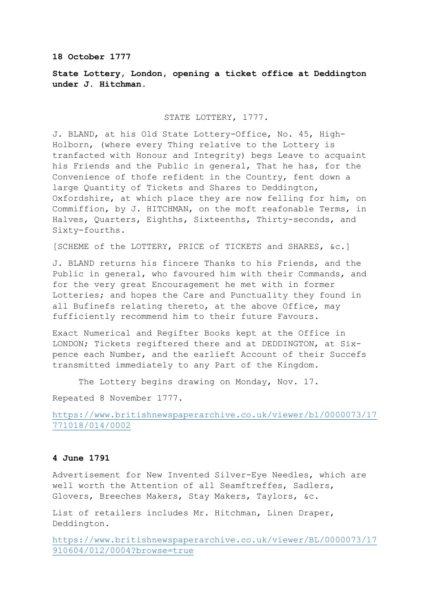### **18 October 1777**

# **State Lottery, London, opening a ticket office at Deddington under J. Hitchman.**

# STATE LOTTERY, 1777.

J. BLAND, at his Old State Lottery-Office, No. 45, High-Holborn, (where every Thing relative to the Lottery is tranfacted with Honour and Integrity) begs Leave to acquaint his Friends and the Public in general, That he has, for the Convenience of thofe refident in the Country, fent down a large Quantity of Tickets and Shares to Deddington, Oxfordshire, at which place they are now felling for him, on Commiffion, by J. HITCHMAN, on the moft reafonable Terms, in Halves, Quarters, Eighths, Sixteenths, Thirty-seconds, and Sixty-fourths.

[SCHEME of the LOTTERY, PRICE of TICKETS and SHARES, &c.]

J. BLAND returns his fincere Thanks to his Friends, and the Public in general, who favoured him with their Commands, and for the very great Encouragement he met with in former Lotteries; and hopes the Care and Punctuality they found in all Bufinefs relating thereto, at the above Office, may fufficiently recommend him to their future Favours.

Exact Numerical and Regifter Books kept at the Office in LONDON; Tickets regiftered there and at DEDDINGTON, at Sixpence each Number, and the earlieft Account of their Succefs transmitted immediately to any Part of the Kingdom.

The Lottery begins drawing on Monday, Nov. 17.

Repeated 8 November 1777.

[https://www.britishnewspaperarchive.co.uk/viewer/bl/0000073/17](https://www.britishnewspaperarchive.co.uk/viewer/bl/0000073/17771018/014/0002) [771018/014/0002](https://www.britishnewspaperarchive.co.uk/viewer/bl/0000073/17771018/014/0002)

# **4 June 1791**

Advertisement for New Invented Silver-Eye Needles, which are well worth the Attention of all Seamftreffes, Sadlers, Glovers, Breeches Makers, Stay Makers, Taylors, &c.

List of retailers includes Mr. Hitchman, Linen Draper, Deddington.

[https://www.britishnewspaperarchive.co.uk/viewer/BL/0000073/17](https://www.britishnewspaperarchive.co.uk/viewer/BL/0000073/17910604/012/0004?browse=true) [910604/012/0004?browse=true](https://www.britishnewspaperarchive.co.uk/viewer/BL/0000073/17910604/012/0004?browse=true)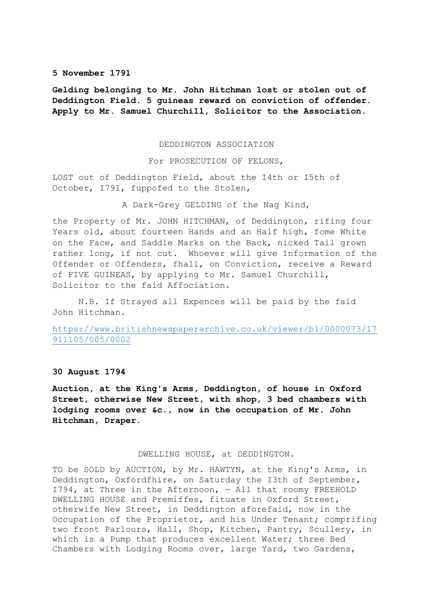#### **5 November 1791**

**Gelding belonging to Mr. John Hitchman lost or stolen out of Deddington Field. 5 guineas reward on conviction of offender. Apply to Mr. Samuel Churchill, Solicitor to the Association.**

#### DEDDINGTON ASSOCIATION

For PROSECUTION OF FELONS,

LOST out of Deddington Field, about the I4th or I5th of October, I79I, fuppofed to the Stolen,

A Dark-Grey GELDING of the Nag Kind,

the Property of Mr. JOHN HITCHMAN, of Deddington, rifing four Years old, about fourteen Hands and an Half high, fome White on the Face, and Saddle Marks on the Back, nicked Tail grown rather long, if not cut. Whoever will give Information of the Offender or Offenders, fhall, on Conviction, receive a Reward of FIVE GUINEAS, by applying to Mr. Samuel Churchill, Solicitor to the faid Affociation.

N.B. If Strayed all Expences will be paid by the faid John Hitchman.

[https://www.britishnewspaperarchive.co.uk/viewer/bl/0000073/17](https://www.britishnewspaperarchive.co.uk/viewer/bl/0000073/17911105/005/0002) [911105/005/0002](https://www.britishnewspaperarchive.co.uk/viewer/bl/0000073/17911105/005/0002)

### **30 August 1794**

**Auction, at the King's Arms, Deddington, of house in Oxford Street, otherwise New Street, with shop, 3 bed chambers with lodging rooms over &c., now in the occupation of Mr. John Hitchman, Draper.**

## DWELLING HOUSE, at DEDDINGTON.

TO be SOLD by AUCTION, by Mr. HAWTYN, at the King's Arms, in Deddington, Oxfordfhire, on Saturday the I3th of September, I794, at Three in the Afternoon, — All that roomy FREEHOLD DWELLING HOUSE and Premiffes, fituate in Oxford Street, otherwife New Street, in Deddington aforefaid, now in the Occupation of the Proprietor, and his Under Tenant; comprifing two front Parlours, Hall, Shop, Kitchen, Pantry, Scullery, in which is a Pump that produces excellent Water; three Bed Chambers with Lodging Rooms over, large Yard, two Gardens,